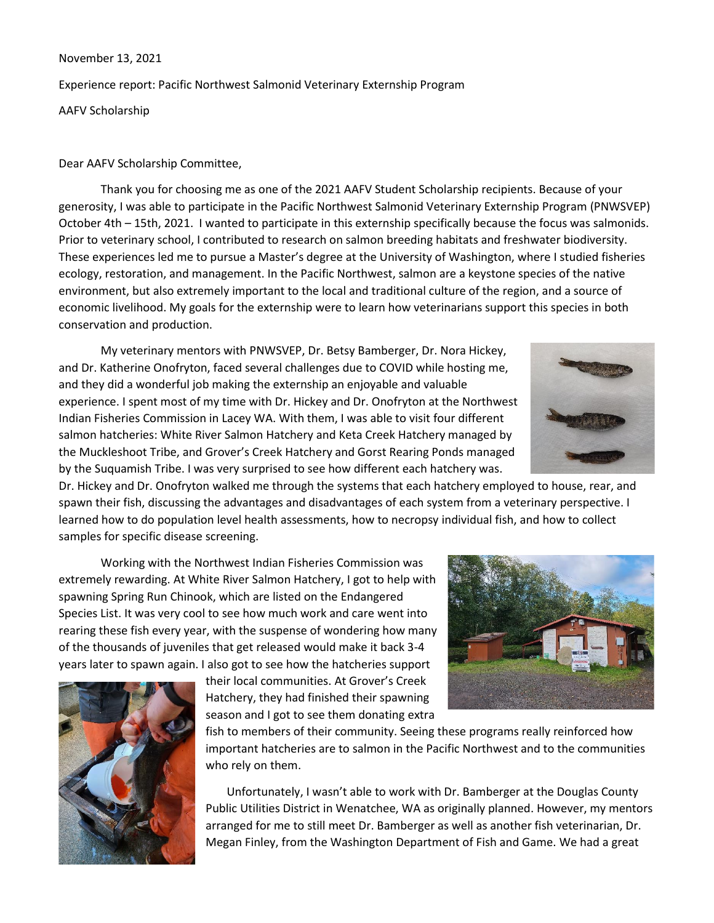November 13, 2021 Experience report: Pacific Northwest Salmonid Veterinary Externship Program AAFV Scholarship

## Dear AAFV Scholarship Committee,

Thank you for choosing me as one of the 2021 AAFV Student Scholarship recipients. Because of your generosity, I was able to participate in the Pacific Northwest Salmonid Veterinary Externship Program (PNWSVEP) October 4th – 15th, 2021. I wanted to participate in this externship specifically because the focus was salmonids. Prior to veterinary school, I contributed to research on salmon breeding habitats and freshwater biodiversity. These experiences led me to pursue a Master's degree at the University of Washington, where I studied fisheries ecology, restoration, and management. In the Pacific Northwest, salmon are a keystone species of the native environment, but also extremely important to the local and traditional culture of the region, and a source of economic livelihood. My goals for the externship were to learn how veterinarians support this species in both conservation and production.

My veterinary mentors with PNWSVEP, Dr. Betsy Bamberger, Dr. Nora Hickey, and Dr. Katherine Onofryton, faced several challenges due to COVID while hosting me, and they did a wonderful job making the externship an enjoyable and valuable experience. I spent most of my time with Dr. Hickey and Dr. Onofryton at the Northwest Indian Fisheries Commission in Lacey WA. With them, I was able to visit four different salmon hatcheries: White River Salmon Hatchery and Keta Creek Hatchery managed by the Muckleshoot Tribe, and Grover's Creek Hatchery and Gorst Rearing Ponds managed by the Suquamish Tribe. I was very surprised to see how different each hatchery was.

Dr. Hickey and Dr. Onofryton walked me through the systems that each hatchery employed to house, rear, and spawn their fish, discussing the advantages and disadvantages of each system from a veterinary perspective. I learned how to do population level health assessments, how to necropsy individual fish, and how to collect samples for specific disease screening.

Working with the Northwest Indian Fisheries Commission was extremely rewarding. At White River Salmon Hatchery, I got to help with spawning Spring Run Chinook, which are listed on the Endangered Species List. It was very cool to see how much work and care went into rearing these fish every year, with the suspense of wondering how many of the thousands of juveniles that get released would make it back 3-4 years later to spawn again. I also got to see how the hatcheries support

their local communities. At Grover's Creek Hatchery, they had finished their spawning season and I got to see them donating extra

fish to members of their community. Seeing these programs really reinforced how important hatcheries are to salmon in the Pacific Northwest and to the communities

Unfortunately, I wasn't able to work with Dr. Bamberger at the Douglas County Public Utilities District in Wenatchee, WA as originally planned. However, my mentors arranged for me to still meet Dr. Bamberger as well as another fish veterinarian, Dr. Megan Finley, from the Washington Department of Fish and Game. We had a great